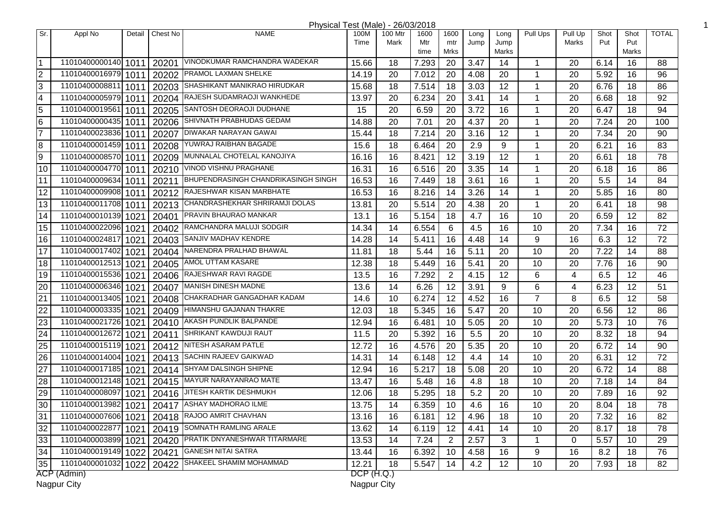| Physical Test (Male) - 26/03/2018 |                     |        |          |                                                  |            |         |             |                |      |               |                |                 |      |              |              |
|-----------------------------------|---------------------|--------|----------|--------------------------------------------------|------------|---------|-------------|----------------|------|---------------|----------------|-----------------|------|--------------|--------------|
| Sr.                               | Appl No             | Detail | Chest No | <b>NAME</b>                                      | 100M       | 100 Mtr | 1600        | 1600           | Long | Long          | Pull Ups       | Pull Up         | Shot | Shot         | <b>TOTAL</b> |
|                                   |                     |        |          |                                                  | Time       | Mark    | Mtr<br>time | mtr<br>Mrks    | Jump | Jump<br>Marks |                | Marks           | Put  | Put<br>Marks |              |
| $\overline{1}$                    | 11010400000140 1011 |        |          | 20201 VINODKUMAR RAMCHANDRA WADEKAR              | 15.66      | 18      | 7.293       | 20             | 3.47 | 14            | $\mathbf 1$    | 20              | 6.14 | 16           | 88           |
| $\overline{2}$                    | 11010400016979 1011 |        |          | 20202 PRAMOL LAXMAN SHELKE                       | 14.19      | 20      | 7.012       | 20             | 4.08 | 20            | $\mathbf 1$    | 20              | 5.92 | 16           | 96           |
| $\overline{3}$                    | 11010400008811 1011 |        |          | 20203 SHASHIKANT MANIKRAO HIRUDKAR               | 15.68      | 18      | 7.514       | 18             | 3.03 | 12            | -1             | 20              | 6.76 | 18           | 86           |
| $\overline{4}$                    | 11010400005979 1011 |        |          | 20204 RAJESH SUDAMRAOJI WANKHEDE                 | 13.97      | 20      | 6.234       | 20             | 3.41 | 14            | 1              | 20              | 6.68 | 18           | 92           |
| $\overline{5}$                    | 11010400019561      | 1011   |          | 20205 SANTOSH DEORAOJI DUDHANE                   | 15         | 20      | 6.59        | 20             | 3.72 | 16            | -1             | 20              | 6.47 | 18           | 94           |
| $\overline{6}$                    | 11010400000435 1011 |        |          | 20206 SHIVNATH PRABHUDAS GEDAM                   | 14.88      | 20      | 7.01        | 20             | 4.37 | 20            | -1             | 20              | 7.24 | 20           | 100          |
| 7                                 | 11010400023836 1011 |        |          | 20207 DIWAKAR NARAYAN GAWAI                      | 15.44      | 18      | 7.214       | 20             | 3.16 | 12            | 1              | 20              | 7.34 | 20           | 90           |
| $\overline{8}$                    | 11010400001459 1011 |        | 20208    | YUWRAJ RAIBHAN BAGADE                            | 15.6       | 18      | 6.464       | 20             | 2.9  | 9             | 1              | 20              | 6.21 | 16           | 83           |
| $\overline{9}$                    | 11010400008570 1011 |        |          | 20209 MUNNALAL CHOTELAL KANOJIYA                 | 16.16      | 16      | 8.421       | 12             | 3.19 | 12            | 1              | 20              | 6.61 | 18           | 78           |
| 10                                | 11010400004770 1011 |        |          | 20210 VINOD VISHNU PRAGHANE                      | 16.31      | 16      | 6.516       | 20             | 3.35 | 14            | 1              | 20              | 6.18 | 16           | 86           |
| 11                                | 11010400009634 1011 |        |          | 20211 BHUPENDRASINGH CHANDRIKASINGH SINGH        | 16.53      | 16      | 7.449       | 18             | 3.61 | 16            | $\mathbf 1$    | 20              | 5.5  | 14           | 84           |
| 12                                | 11010400009908 1011 |        |          | 20212 RAJESHWAR KISAN MARBHATE                   | 16.53      | 16      | 8.216       | 14             | 3.26 | 14            | $\mathbf 1$    | 20              | 5.85 | 16           | 80           |
| $\overline{13}$                   | 11010400011708 1011 |        |          | 20213 CHANDRASHEKHAR SHRIRAMJI DOLAS             | 13.81      | 20      | 5.514       | 20             | 4.38 | 20            | $\mathbf 1$    | 20              | 6.41 | 18           | 98           |
| 14                                | 11010400010139 1021 |        |          | 20401 PRAVIN BHAURAO MANKAR                      | 13.1       | 16      | 5.154       | 18             | 4.7  | 16            | 10             | 20              | 6.59 | 12           | 82           |
| 15                                | 11010400022096 1021 |        |          | 20402 RAMCHANDRA MALUJI SODGIR                   | 14.34      | 14      | 6.554       | 6              | 4.5  | 16            | 10             | 20              | 7.34 | 16           | 72           |
| 16                                | 11010400024817 1021 |        |          | 20403 SANJIV MADHAV KENDRE                       | 14.28      | 14      | 5.411       | 16             | 4.48 | 14            | 9              | 16              | 6.3  | 12           | 72           |
| 17                                | 11010400017402 1021 |        |          | 20404 NARENDRA PRALHAD BHAWAL                    | 11.81      | 18      | 5.44        | 16             | 5.11 | 20            | 10             | 20              | 7.22 | 14           | 88           |
| 18                                | 11010400012513 1021 |        |          | 20405   AMOL UTTAM KASARE                        | 12.38      | 18      | 5.449       | 16             | 5.41 | 20            | 10             | 20              | 7.76 | 16           | 90           |
| 19                                | 11010400015536 1021 |        |          | 20406 RAJESHWAR RAVI RAGDE                       | 13.5       | 16      | 7.292       | $\overline{2}$ | 4.15 | 12            | 6              | 4               | 6.5  | 12           | 46           |
| 20                                | 11010400006346 1021 |        |          | 20407 MANISH DINESH MADNE                        | 13.6       | 14      | 6.26        | 12             | 3.91 | 9             | 6              | 4               | 6.23 | 12           | 51           |
| $\overline{21}$                   | 11010400013405 1021 |        | 20408    | CHAKRADHAR GANGADHAR KADAM                       | 14.6       | 10      | 6.274       | 12             | 4.52 | 16            | $\overline{7}$ | 8               | 6.5  | 12           | 58           |
| 22                                | 11010400003335 1021 |        |          | 20409 HIMANSHU GAJANAN THAKRE                    | 12.03      | 18      | 5.345       | 16             | 5.47 | 20            | 10             | 20              | 6.56 | 12           | 86           |
| $\overline{23}$                   | 11010400021726 1021 |        |          | 20410 AKASH PUNDLIK BALPANDE                     | 12.94      | 16      | 6.481       | 10             | 5.05 | 20            | 10             | 20              | 5.73 | 10           | 76           |
| $\overline{24}$                   | 11010400012672 1021 |        | 20411    | <b>SHRIKANT KAWDUJI RAUT</b>                     | 11.5       | 20      | 5.392       | 16             | 5.5  | 20            | 10             | 20              | 8.32 | 18           | 94           |
| 25                                | 11010400015119 1021 |        |          | 20412 NITESH ASARAM PATLE                        | 12.72      | 16      | 4.576       | 20             | 5.35 | 20            | 10             | 20              | 6.72 | 14           | 90           |
| 26                                | 11010400014004 1021 |        |          | 20413 SACHIN RAJEEV GAIKWAD                      | 14.31      | 14      | 6.148       | 12             | 4.4  | 14            | 10             | 20              | 6.31 | 12           | 72           |
| 27                                | 11010400017185 1021 |        |          | 20414 SHYAM DALSINGH SHIPNE                      | 12.94      | 16      | 5.217       | 18             | 5.08 | 20            | 10             | 20              | 6.72 | 14           | 88           |
| 28                                | 11010400012148 1021 |        |          | 20415 MAYUR NARAYANRAO MATE                      | 13.47      | 16      | 5.48        | 16             | 4.8  | 18            | 10             | 20              | 7.18 | 14           | 84           |
| $\overline{29}$                   |                     |        |          | 11010400008097 1021 20416 JITESH KARTIK DESHMUKH | 12.06      | 18      | 5.295       | 18             | 5.2  | 20            | 10             | 20              | 7.89 | 16           | 92           |
| $\overline{30}$                   |                     |        |          | 11010400013982 1021 20417 ASHAY MADHORAO ILME    | 13.75      | 14      | 6.359       | 10             | 4.6  | 16            | 10             | $\overline{20}$ | 8.04 | 18           | 78           |
| 31                                | 11010400007606 1021 |        |          | $120418$ RAJOO AMRIT CHAVHAN                     | 13.16      | 16      | 6.181       | 12             | 4.96 | 18            | 10             | 20              | 7.32 | 16           | 82           |
| 32                                | 11010400022877 1021 |        |          | 20419 SOMNATH RAMLING ARALE                      | 13.62      | 14      | 6.119       | 12             | 4.41 | 14            | 10             | 20              | 8.17 | 18           | 78           |
| 33                                | 11010400003899 1021 |        |          | 20420 PRATIK DNYANESHWAR TITARMARE               | 13.53      | 14      | 7.24        | $\overline{2}$ | 2.57 | 3             | $\mathbf{1}$   | $\mathbf 0$     | 5.57 | 10           | 29           |
| 34                                | 11010400019149 1022 |        |          | 20421 GANESH NITAI SATRA                         | 13.44      | 16      | 6.392       | 10             | 4.58 | 16            | 9              | 16              | 8.2  | 18           | 76           |
| 35                                | 11010400001032 1022 |        |          | 20422 SHAKEEL SHAMIM MOHAMMAD                    | 12.21      | 18      | 5.547       | 14             | 4.2  | 12            | 10             | 20              | 7.93 | 18           | 82           |
|                                   | ACP (Admin)         |        |          |                                                  | DCP (H.Q.) |         |             |                |      |               |                |                 |      |              |              |